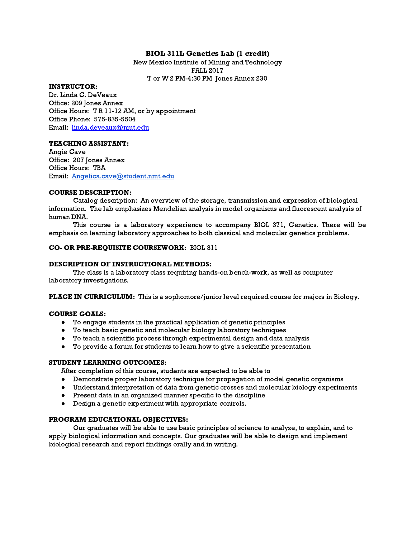# BIOL 311L Genetics Lab (1 credit)

New Mexico Institute of Mining and Technology FALL 2017 T or W 2 PM-4:30 PM Jones Annex 230

#### INSTRUCTOR:

Dr. Linda C. DeVeaux Office: 209 Jones Annex Office Hours: T R 11-12 AM, or by appointment Office Phone: 575-835-5504 Email: [linda.deveaux@nmt.edu](mailto:linda.deveaux@nmt.edu)

#### TEACHING ASSISTANT:

Angie Cave Office: 207 Jones Annex Office Hours: TBA Email: [Angelica.cave@student.nmt.edu](mailto:Angelica.cave@student.nmt.edu)

#### COURSE DESCRIPTION:

Catalog description: An overview of the storage, transmission and expression of biological information. The lab emphasizes Mendelian analysis in model organisms and fluorescent analysis of human DNA.

This course is a laboratory experience to accompany BIOL 371, Genetics. There will be emphasis on learning laboratory approaches to both classical and molecular genetics problems.

### CO- OR PRE-REQUISITE COURSEWORK: BIOL 311

#### DESCRIPTION OF INSTRUCTIONAL METHODS:

The class is a laboratory class requiring hands-on bench-work, as well as computer laboratory investigations.

**PLACE IN CURRICULUM:** This is a sophomore/junior level required course for majors in Biology.

#### COURSE GOALS:

- To engage students in the practical application of genetic principles
- To teach basic genetic and molecular biology laboratory techniques
- To teach a scientific process through experimental design and data analysis
- To provide a forum for students to learn how to give a scientific presentation

# STUDENT LEARNING OUTCOMES:

After completion of this course, students are expected to be able to

- Demonstrate proper laboratory technique for propagation of model genetic organisms
- Understand interpretation of data from genetic crosses and molecular biology experiments
- Present data in an organized manner specific to the discipline
- Design a genetic experiment with appropriate controls.

### PROGRAM EDUCATIONAL OBJECTIVES:

Our graduates will be able to use basic principles of science to analyze, to explain, and to apply biological information and concepts. Our graduates will be able to design and implement biological research and report findings orally and in writing.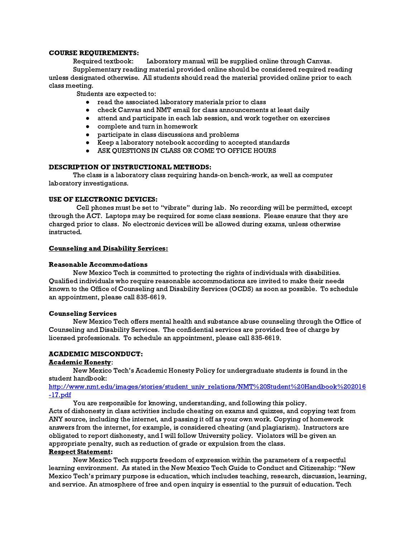#### COURSE REQUIREMENTS:

Required textbook: Laboratory manual will be supplied online through Canvas. Supplementary reading material provided online should be considered required reading unless designated otherwise. All students should read the material provided online prior to each class meeting.

Students are expected to:

- read the associated laboratory materials prior to class
- check Canvas and NMT email for class announcements at least daily
- attend and participate in each lab session, and work together on exercises
- complete and turn in homework
- participate in class discussions and problems
- Keep a laboratory notebook according to accepted standards
- ASK QUESTIONS IN CLASS OR COME TO OFFICE HOURS

# DESCRIPTION OF INSTRUCTIONAL METHODS:

The class is a laboratory class requiring hands-on bench-work, as well as computer laboratory investigations.

# USE OF ELECTRONIC DEVICES:

Cell phones must be set to "vibrate" during lab. No recording will be permitted, except through the ACT. Laptops may be required for some class sessions. Please ensure that they are charged prior to class. No electronic devices will be allowed during exams, unless otherwise instructed.

#### Counseling and Disability Services:

# Reasonable Accommodations

New Mexico Tech is committed to protecting the rights of individuals with disabilities. Qualified individuals who require reasonable accommodations are invited to make their needs known to the Office of Counseling and Disability Services (OCDS) as soon as possible. To schedule an appointment, please call 835-6619.

#### Counseling Services

New Mexico Tech offers mental health and substance abuse counseling through the Office of Counseling and Disability Services. The confidential services are provided free of charge by licensed professionals. To schedule an appointment, please call 835-6619.

# ACADEMIC MISCONDUCT:

# Academic Honesty:

New Mexico Tech's Academic Honesty Policy for undergraduate students is found in the student handbook:

[http://www.nmt.edu/images/stories/student\\_univ\\_relations/NMT%20Student%20Handbook%202016](http://www.nmt.edu/images/stories/student_univ_relations/NMT%20Student%20Handbook%202016-17.pdf) [-17.pdf](http://www.nmt.edu/images/stories/student_univ_relations/NMT%20Student%20Handbook%202016-17.pdf)

You are responsible for knowing, understanding, and following this policy.

Acts of dishonesty in class activities include cheating on exams and quizzes, and copying text from ANY source, including the internet, and passing it off as your own work. Copying of homework answers from the internet, for example, is considered cheating (and plagiarism). Instructors are obligated to report dishonesty, and I will follow University policy. Violators will be given an appropriate penalty, such as reduction of grade or expulsion from the class.

# Respect Statement:

New Mexico Tech supports freedom of expression within the parameters of a respectful learning environment. As stated in the New Mexico Tech Guide to Conduct and Citizenship: "New Mexico Tech's primary purpose is education, which includes teaching, research, discussion, learning, and service. An atmosphere of free and open inquiry is essential to the pursuit of education. Tech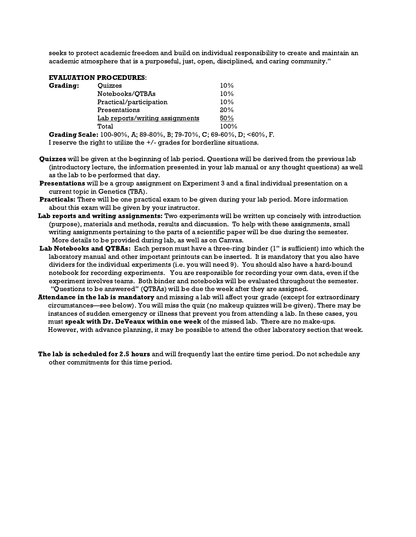seeks to protect academic freedom and build on individual responsibility to create and maintain an academic atmosphere that is a purposeful, just, open, disciplined, and caring community."

# EVALUATION PROCEDURES:

| <b>Grading:</b> | Ouizzes                         | 10%  |  |
|-----------------|---------------------------------|------|--|
|                 | Notebooks/QTBAs                 | 10%  |  |
|                 | Practical/participation         | 10%  |  |
|                 | Presentations                   | 20%  |  |
|                 | Lab reports/writing assignments | 50%  |  |
|                 | Total                           | 100% |  |
|                 |                                 |      |  |

Grading Scale: 100-90%, A; 89-80%, B; 79-70%, C; 69-60%, D; <60%, F. I reserve the right to utilize the +/- grades for borderline situations.

- Quizzes will be given at the beginning of lab period. Questions will be derived from the previous lab (introductory lecture, the information presented in your lab manual or any thought questions) as well as the lab to be performed that day.
- Presentations will be a group assignment on Experiment 3 and a final individual presentation on a current topic in Genetics (TBA).
- Practicals: There will be one practical exam to be given during your lab period. More information about this exam will be given by your instructor.
- Lab reports and writing assignments: Two experiments will be written up concisely with introduction (purpose), materials and methods, results and discussion. To help with these assignments, small writing assignments pertaining to the parts of a scientific paper will be due during the semester. More details to be provided during lab, as well as on Canvas.
- Lab Notebooks and QTBAs: Each person must have a three-ring binder (1" is sufficient) into which the laboratory manual and other important printouts can be inserted. It is mandatory that you also have dividers for the individual experiments (i.e. you will need 9). You should also have a hard-bound notebook for recording experiments. You are responsible for recording your own data, even if the experiment involves teams. Both binder and notebooks will be evaluated throughout the semester. "Questions to be answered" (QTBAs) will be due the week after they are assigned.
- Attendance in the lab is mandatory and missing a lab will affect your grade (except for extraordinary circumstances—see below). You will miss the quiz (no makeup quizzes will be given). There may be instances of sudden emergency or illness that prevent you from attending a lab. In these cases, you must speak with Dr. DeVeaux within one week of the missed lab. There are no make-ups. However, with advance planning, it may be possible to attend the other laboratory section that week.
- The lab is scheduled for 2.5 hours and will frequently last the entire time period. Do not schedule any other commitments for this time period.